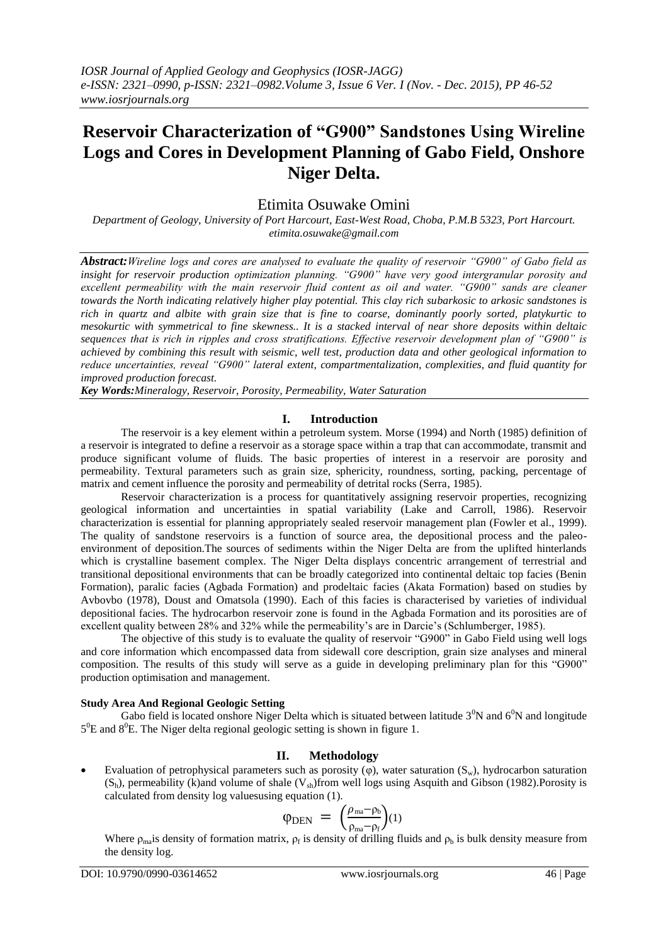# **Reservoir Characterization of "G900" Sandstones Using Wireline Logs and Cores in Development Planning of Gabo Field, Onshore Niger Delta.**

## Etimita Osuwake Omini

*Department of Geology, University of Port Harcourt, East-West Road, Choba, P.M.B 5323, Port Harcourt. etimita.osuwake@gmail.com*

*Abstract:Wireline logs and cores are analysed to evaluate the quality of reservoir "G900" of Gabo field as insight for reservoir production optimization planning. "G900" have very good intergranular porosity and excellent permeability with the main reservoir fluid content as oil and water. "G900" sands are cleaner towards the North indicating relatively higher play potential. This clay rich subarkosic to arkosic sandstones is rich in quartz and albite with grain size that is fine to coarse, dominantly poorly sorted, platykurtic to mesokurtic with symmetrical to fine skewness.. It is a stacked interval of near shore deposits within deltaic sequences that is rich in ripples and cross stratifications. Effective reservoir development plan of "G900" is achieved by combining this result with seismic, well test, production data and other geological information to reduce uncertainties, reveal "G900" lateral extent, compartmentalization, complexities, and fluid quantity for improved production forecast.*

*Key Words:Mineralogy, Reservoir, Porosity, Permeability, Water Saturation*

## **I. Introduction**

The reservoir is a key element within a petroleum system. Morse (1994) and North (1985) definition of a reservoir is integrated to define a reservoir as a storage space within a trap that can accommodate, transmit and produce significant volume of fluids. The basic properties of interest in a reservoir are porosity and permeability. Textural parameters such as grain size, sphericity, roundness, sorting, packing, percentage of matrix and cement influence the porosity and permeability of detrital rocks (Serra, 1985).

Reservoir characterization is a process for quantitatively assigning reservoir properties, recognizing geological information and uncertainties in spatial variability (Lake and Carroll, 1986). Reservoir characterization is essential for planning appropriately sealed reservoir management plan (Fowler et al., 1999). The quality of sandstone reservoirs is a function of source area, the depositional process and the paleoenvironment of deposition.The sources of sediments within the Niger Delta are from the uplifted hinterlands which is crystalline basement complex. The Niger Delta displays concentric arrangement of terrestrial and transitional depositional environments that can be broadly categorized into continental deltaic top facies (Benin Formation), paralic facies (Agbada Formation) and prodeltaic facies (Akata Formation) based on studies by Avbovbo (1978), Doust and Omatsola (1990). Each of this facies is characterised by varieties of individual depositional facies. The hydrocarbon reservoir zone is found in the Agbada Formation and its porosities are of excellent quality between 28% and 32% while the permeability's are in Darcie's (Schlumberger, 1985).

The objective of this study is to evaluate the quality of reservoir "G900" in Gabo Field using well logs and core information which encompassed data from sidewall core description, grain size analyses and mineral composition. The results of this study will serve as a guide in developing preliminary plan for this "G900" production optimisation and management.

### **Study Area And Regional Geologic Setting**

Gabo field is located onshore Niger Delta which is situated between latitude  $3^0N$  and  $6^0N$  and longitude  $5^{0}E$  and  $8^{0}E$ . The Niger delta regional geologic setting is shown in figure 1.

## **II. Methodology**

Evaluation of petrophysical parameters such as porosity  $(\varphi)$ , water saturation  $(S_w)$ , hydrocarbon saturation  $(S_h)$ , permeability (k)and volume of shale  $(V_{sh})$ from well logs using Asquith and Gibson (1982). Porosity is calculated from density log valuesusing equation (1).

$$
\phi_{\text{DEN}} = \left(\frac{\rho_{\text{ma}} - \rho_b}{\rho_{\text{ma}} - \rho_f}\right) (1)
$$

Where  $\rho_{\text{ma}}$  is density of formation matrix,  $\rho_f$  is density of drilling fluids and  $\rho_b$  is bulk density measure from the density log.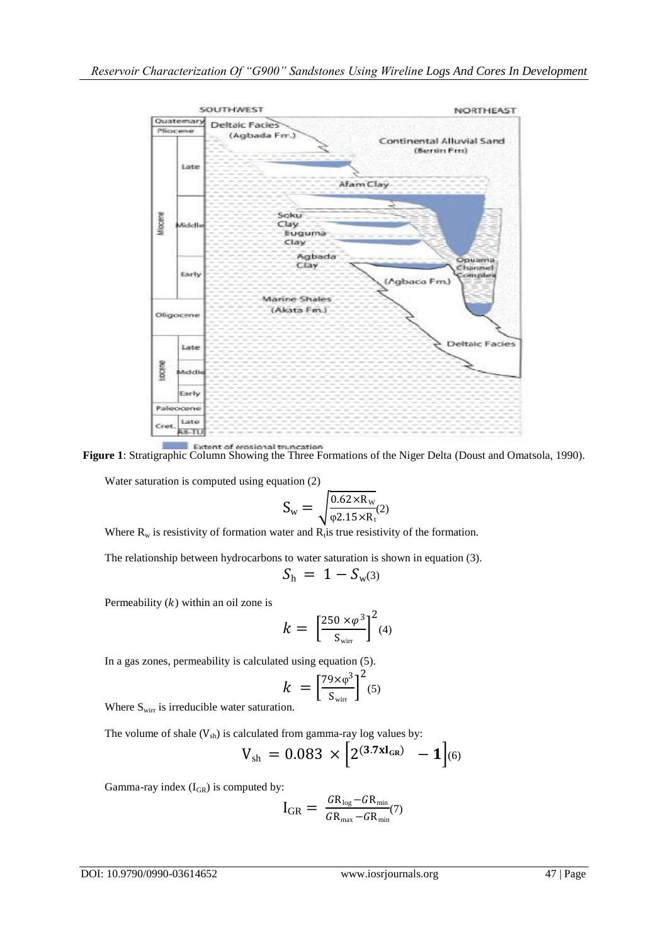

**Figure 1:** Stratigraphic Column Showing the Three Formations of the Niger Delta (Doust and Omatsola, 1990).

Water saturation is computed using equation (2)

$$
S_w = \sqrt{\frac{0.62 \times R_w}{\phi 2.15 \times R_t}} \text{(2)}
$$

Where  $R_w$  is resistivity of formation water and  $R_t$  is true resistivity of the formation.

The relationship between hydrocarbons to water saturation is shown in equation (3).

$$
\mathit{S}_h~=~1-\mathit{S}_{w^{(3)}}
$$

Permeability  $(k)$  within an oil zone is

$$
k = \left[\frac{250 \times \varphi^3}{S_{\text{wirr}}}\right]^2 \text{(4)}
$$

In a gas zones, permeability is calculated using equation (5).

$$
k = \left[\frac{79 \times \varphi^3}{S_{\text{wirr}}}\right]^2 (5)
$$

Where  $S_{\text{wirr}}$  is irreducible water saturation.

The volume of shale  $(V_{sh})$  is calculated from gamma-ray log values by:

$$
V_{\rm sh} = 0.083 \times \left[2^{(3.7 \times I_{\rm GR})} - 1\right]_{(6)}
$$

Gamma-ray index  $(I_{GR})$  is computed by:

$$
I_{GR} = \frac{G R_{\text{log}} - G R_{\text{min}}}{G R_{\text{max}} - G R_{\text{min}}} (7)
$$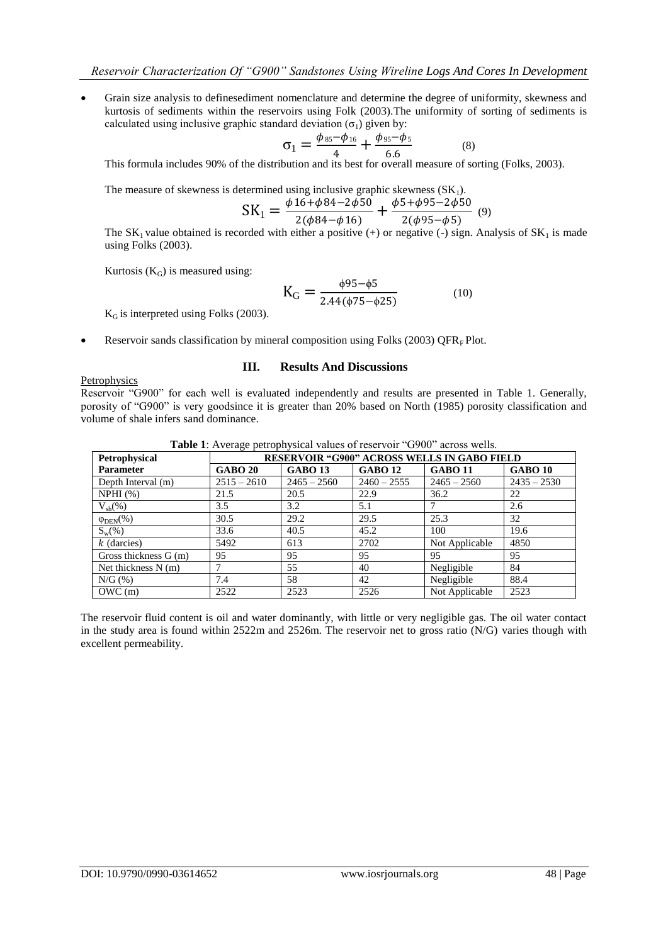Grain size analysis to definesediment nomenclature and determine the degree of uniformity, skewness and kurtosis of sediments within the reservoirs using Folk (2003).The uniformity of sorting of sediments is calculated using inclusive graphic standard deviation  $(\sigma_1)$  given by:

$$
\sigma_1 = \frac{\phi_{85} - \phi_{16}}{4} + \frac{\phi_{95} - \phi_{5}}{6.6}
$$
 (8)

This formula includes 90% of the distribution and its best for overall measure of sorting (Folks, 2003).

The measure of skewness is determined using inclusive graphic skewness  $(SK_1)$ .

$$
SK1 = \frac{\phi 16 + \phi 84 - 2\phi 50}{2(\phi 84 - \phi 16)} + \frac{\phi 5 + \phi 95 - 2\phi 50}{2(\phi 95 - \phi 5)}
$$
 (9)

The  $SK_1$  value obtained is recorded with either a positive (+) or negative (-) sign. Analysis of  $SK_1$  is made using Folks (2003).

Kurtosis  $(K_G)$  is measured using:

$$
K_G = \frac{\phi 95 - \phi 5}{2.44 (\phi 75 - \phi 25)}
$$
(10)

 $K_G$  is interpreted using Folks (2003).

Reservoir sands classification by mineral composition using Folks (2003) OFR<sub>F</sub> Plot.

### **III. Results And Discussions**

Petrophysics

Reservoir "G900" for each well is evaluated independently and results are presented in Table 1. Generally, porosity of "G900" is very goodsince it is greater than 20% based on North (1985) porosity classification and volume of shale infers sand dominance.

| <b>There 1.</b> The case performance of $\frac{1}{2}$ and $\frac{1}{2}$ are $\frac{1}{2}$ are $\frac{1}{2}$ and $\frac{1}{2}$ |                                                    |                |                |                |                |  |
|-------------------------------------------------------------------------------------------------------------------------------|----------------------------------------------------|----------------|----------------|----------------|----------------|--|
| Petrophysical                                                                                                                 | <b>RESERVOIR "G900" ACROSS WELLS IN GABO FIELD</b> |                |                |                |                |  |
| <b>Parameter</b>                                                                                                              | <b>GABO 20</b>                                     | <b>GABO 13</b> | <b>GABO 12</b> | <b>GABO 11</b> | <b>GABO 10</b> |  |
| Depth Interval (m)                                                                                                            | $2515 - 2610$                                      | $2465 - 2560$  | $2460 - 2555$  | $2465 - 2560$  | $2435 - 2530$  |  |
| NPHI(%)                                                                                                                       | 21.5                                               | 20.5           | 22.9           | 36.2           | 22             |  |
| $V_{\text{sh}}(\%)$                                                                                                           | 3.5                                                | 3.2            | 5.1            |                | 2.6            |  |
| $\varphi_{\text{DEN}}(\%)$                                                                                                    | 30.5                                               | 29.2           | 29.5           | 25.3           | 32             |  |
| $S_w(\%)$                                                                                                                     | 33.6                                               | 40.5           | 45.2           | 100            | 19.6           |  |
| $k$ (darcies)                                                                                                                 | 5492                                               | 613            | 2702           | Not Applicable | 4850           |  |
| Gross thickness $G(m)$                                                                                                        | 95                                                 | 95             | 95             | 95             | 95             |  |
| Net thickness $N(m)$                                                                                                          |                                                    | 55             | 40             | Negligible     | 84             |  |
| $N/G$ (%)                                                                                                                     | 7.4                                                | 58             | 42             | Negligible     | 88.4           |  |
| OWC(m)                                                                                                                        | 2522                                               | 2523           | 2526           | Not Applicable | 2523           |  |

**Table 1:** Average petrophysical values of reservoir "G900" across wells.

The reservoir fluid content is oil and water dominantly, with little or very negligible gas. The oil water contact in the study area is found within 2522m and 2526m. The reservoir net to gross ratio (N/G) varies though with excellent permeability.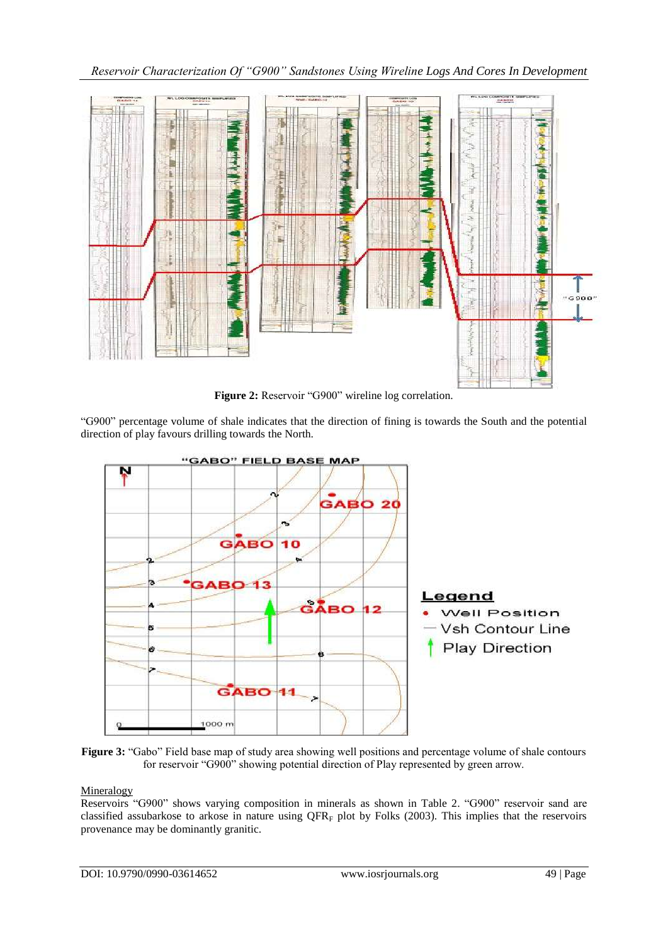*Reservoir Characterization Of "G900" Sandstones Using Wireline Logs And Cores In Development*



**Figure 2:** Reservoir "G900" wireline log correlation.

"G900" percentage volume of shale indicates that the direction of fining is towards the South and the potential direction of play favours drilling towards the North.



**Figure 3:** "Gabo" Field base map of study area showing well positions and percentage volume of shale contours for reservoir "G900" showing potential direction of Play represented by green arrow.

## **Mineralogy**

Reservoirs "G900" shows varying composition in minerals as shown in Table 2. "G900" reservoir sand are classified assubarkose to arkose in nature using  $QFR_F$  plot by Folks (2003). This implies that the reservoirs provenance may be dominantly granitic.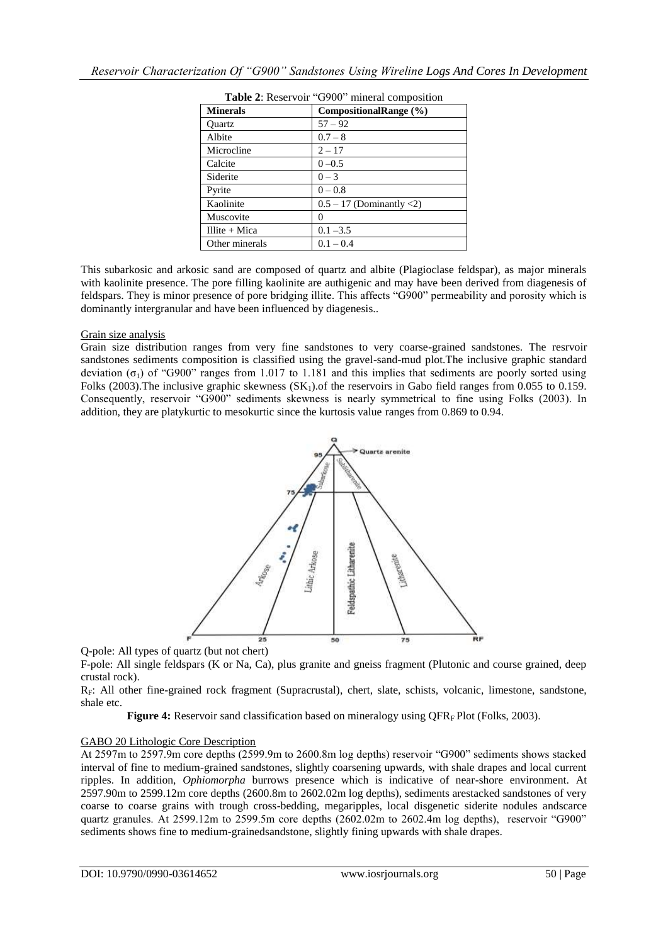| <b>Minerals</b> | CompositionalRange (%)     |
|-----------------|----------------------------|
| Ouartz          | $57 - 92$                  |
| Albite          | $0.7 - 8$                  |
| Microcline      | $2 - 17$                   |
| Calcite         | $0 - 0.5$                  |
| Siderite        | $0 - 3$                    |
| Pyrite          | $0 - 0.8$                  |
| Kaolinite       | $0.5 - 17$ (Dominantly <2) |
| Muscovite       | 0                          |
| Illite $+$ Mica | $0.1 - 3.5$                |
| Other minerals  | $0.1 - 0.4$                |

|  | <b>Table 2:</b> Reservoir "G900" mineral composition |
|--|------------------------------------------------------|
|--|------------------------------------------------------|

This subarkosic and arkosic sand are composed of quartz and albite (Plagioclase feldspar), as major minerals with kaolinite presence. The pore filling kaolinite are authigenic and may have been derived from diagenesis of feldspars. They is minor presence of pore bridging illite. This affects "G900" permeability and porosity which is dominantly intergranular and have been influenced by diagenesis..

## Grain size analysis

Grain size distribution ranges from very fine sandstones to very coarse-grained sandstones. The resrvoir sandstones sediments composition is classified using the gravel-sand-mud plot.The inclusive graphic standard deviation (σ<sub>1</sub>) of "G900" ranges from 1.017 to 1.181 and this implies that sediments are poorly sorted using Folks (2003). The inclusive graphic skewness  $(SK_1)$  of the reservoirs in Gabo field ranges from 0.055 to 0.159. Consequently, reservoir "G900" sediments skewness is nearly symmetrical to fine using Folks (2003). In addition, they are platykurtic to mesokurtic since the kurtosis value ranges from 0.869 to 0.94.



Q-pole: All types of quartz (but not chert)

F-pole: All single feldspars (K or Na, Ca), plus granite and gneiss fragment (Plutonic and course grained, deep crustal rock).

RF: All other fine-grained rock fragment (Supracrustal), chert, slate, schists, volcanic, limestone, sandstone, shale etc.

**Figure 4:** Reservoir sand classification based on mineralogy using QFR<sub>F</sub> Plot (Folks, 2003).

### GABO 20 Lithologic Core Description

At 2597m to 2597.9m core depths (2599.9m to 2600.8m log depths) reservoir "G900" sediments shows stacked interval of fine to medium-grained sandstones, slightly coarsening upwards, with shale drapes and local current ripples. In addition, *Ophiomorpha* burrows presence which is indicative of near-shore environment. At 2597.90m to 2599.12m core depths (2600.8m to 2602.02m log depths), sediments arestacked sandstones of very coarse to coarse grains with trough cross-bedding, megaripples, local disgenetic siderite nodules andscarce quartz granules. At 2599.12m to 2599.5m core depths (2602.02m to 2602.4m log depths), reservoir "G900" sediments shows fine to medium-grainedsandstone, slightly fining upwards with shale drapes.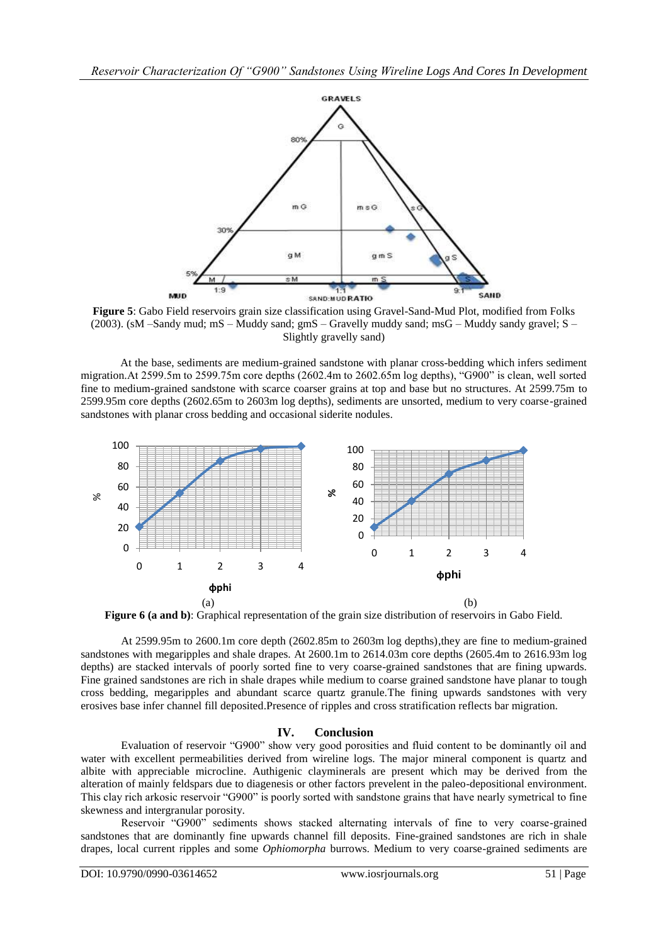

**Figure 5**: Gabo Field reservoirs grain size classification using Gravel-Sand-Mud Plot, modified from Folks (2003). (sM –Sandy mud; mS – Muddy sand; gmS – Gravelly muddy sand; msG – Muddy sandy gravel; S – Slightly gravelly sand)

At the base, sediments are medium-grained sandstone with planar cross-bedding which infers sediment migration.At 2599.5m to 2599.75m core depths (2602.4m to 2602.65m log depths), "G900" is clean, well sorted fine to medium-grained sandstone with scarce coarser grains at top and base but no structures. At 2599.75m to 2599.95m core depths (2602.65m to 2603m log depths), sediments are unsorted, medium to very coarse-grained sandstones with planar cross bedding and occasional siderite nodules.



**Figure 6 (a and b)**: Graphical representation of the grain size distribution of reservoirs in Gabo Field.

At 2599.95m to 2600.1m core depth (2602.85m to 2603m log depths),they are fine to medium-grained sandstones with megaripples and shale drapes. At 2600.1m to 2614.03m core depths (2605.4m to 2616.93m log depths) are stacked intervals of poorly sorted fine to very coarse-grained sandstones that are fining upwards. Fine grained sandstones are rich in shale drapes while medium to coarse grained sandstone have planar to tough cross bedding, megaripples and abundant scarce quartz granule.The fining upwards sandstones with very erosives base infer channel fill deposited.Presence of ripples and cross stratification reflects bar migration.

## **IV. Conclusion**

Evaluation of reservoir "G900" show very good porosities and fluid content to be dominantly oil and water with excellent permeabilities derived from wireline logs. The major mineral component is quartz and albite with appreciable microcline. Authigenic clayminerals are present which may be derived from the alteration of mainly feldspars due to diagenesis or other factors prevelent in the paleo-depositional environment. This clay rich arkosic reservoir "G900" is poorly sorted with sandstone grains that have nearly symetrical to fine skewness and intergranular porosity.

Reservoir "G900" sediments shows stacked alternating intervals of fine to very coarse-grained sandstones that are dominantly fine upwards channel fill deposits. Fine-grained sandstones are rich in shale drapes, local current ripples and some *Ophiomorpha* burrows. Medium to very coarse-grained sediments are